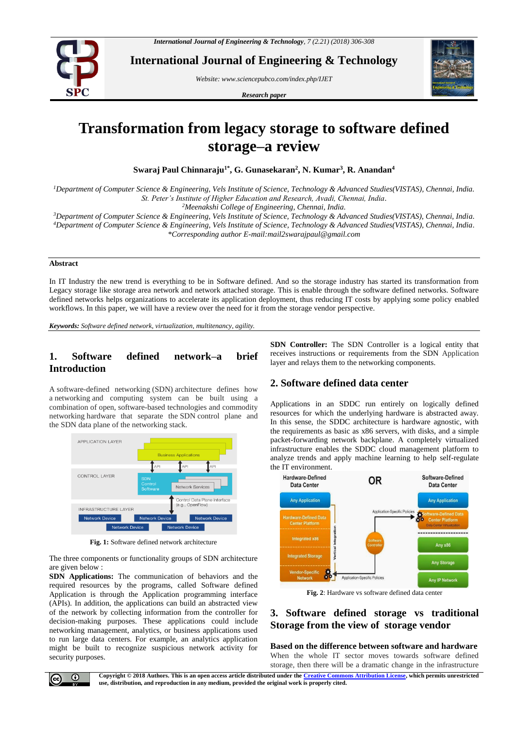

**International Journal of Engineering & Technology**

*Website: www.sciencepubco.com/index.php/IJET*

*Research paper*



# **Transformation from legacy storage to software defined storage–a review**

**Swaraj Paul Chinnaraju1\* , G. Gunasekaran<sup>2</sup> , N. Kumar<sup>3</sup> , R. Anandan<sup>4</sup>**

*<sup>1</sup>Department of Computer Science & Engineering, Vels Institute of Science, Technology & Advanced Studies(VISTAS), Chennai, India. St. Peter's Institute of Higher Education and Research, Avadi, Chennai, India.*

*<sup>2</sup>Meenakshi College of Engineering, Chennai, India.*

*<sup>3</sup>Department of Computer Science & Engineering, Vels Institute of Science, Technology & Advanced Studies(VISTAS), Chennai, India. <sup>4</sup>Department of Computer Science & Engineering, Vels Institute of Science, Technology & Advanced Studies(VISTAS), Chennai, India. \*Corresponding author E-mail[:mail2swarajpaul@gmail.com](mailto:mail2swarajpaul@gmail.com)*

#### **Abstract**

In IT Industry the new trend is everything to be in Software defined. And so the storage industry has started its transformation from Legacy storage like storage area network and network attached storage. This is enable through the software defined networks. Software defined networks helps organizations to accelerate its application deployment, thus reducing IT costs by applying some policy enabled workflows. In this paper, we will have a review over the need for it from the storage vendor perspective.

*Keywords: Software defined network, virtualization, multitenancy, agility.*

# **1. Software defined network–a brief Introduction**

A software-defined networking (SDN) architecture defines how a networking and computing system can be built using a combination of open, software-based technologies and commodity networking hardware that separate the SDN control plane and the SDN data plane of the networking stack.



**Fig. 1:** Software defined network architecture

The three components or functionality groups of SDN architecture are given below :

**[SDN Applications:](https://www.sdxcentral.com/products/sdn-applications/)** The communication of behaviors and the required resources by the programs, called Software defined Application is through the Application programming interface (APIs). In addition, the applications can build an abstracted view of the network by collecting information from the controller for decision-making purposes. These applications could include networking management, analytics, or business applications used to run large data centers. For example, an analytics application might be built to recognize suspicious network activity for security purposes.

**[SDN Controller:](https://www.sdxcentral.com/sdn/definitions/sdn-controllers/sdn-controllers-comprehensive-list/)** The SDN Controller is a logical entity that receives instructions or requirements from the SDN Application layer and relays them to the networking components.

# **2. Software defined data center**

Applications in an SDDC run entirely on logically defined resources for which the underlying hardware is abstracted away. In this sense, the SDDC architecture is hardware agnostic, with the requirements as basic as x86 servers, with disks, and a simple packet-forwarding network backplane. A completely virtualized infrastructure enables the SDDC cloud management platform to analyze trends and apply machine learning to help self-regulate the IT environment.



**Fig. 2**: Hardware vs software defined data center

# **3. [Software defined storage vs traditional](https://www.zadarastorage.com/blog/industry-insights/software-defined-storage-vs-traditional-san-storage-from-a-storage-vendor-perspective/)  [Storage from the view of storage vendor](https://www.zadarastorage.com/blog/industry-insights/software-defined-storage-vs-traditional-san-storage-from-a-storage-vendor-perspective/)**

**Based on the difference between software and hardware** When the whole IT sector moves towards software defined storage, then there will be a dramatic change in the infrastructure

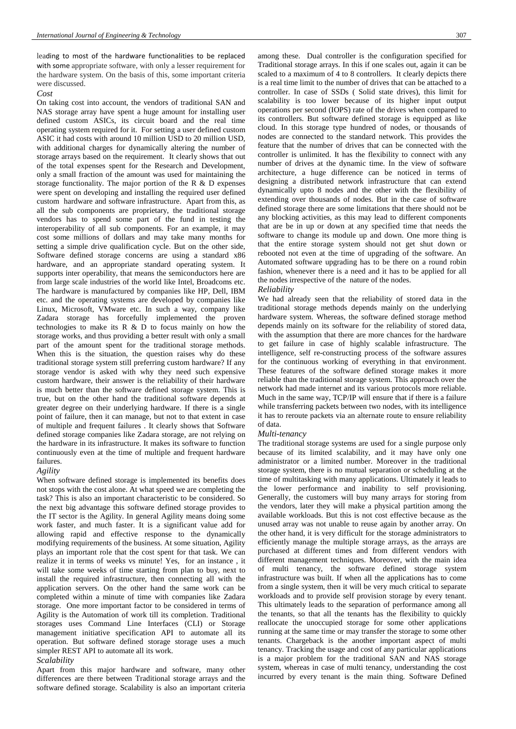leading to most of the hardware functionalities to be replaced with some appropriate software, with only a lesser requirement for the hardware system. On the basis of this, some important criteria were discussed.

#### *Cost*

On taking cost into account, the vendors of traditional SAN and NAS storage array have spent a huge amount for installing user defined custom ASICs, its circuit board and the real time operating system required for it. For setting a user defined custom ASIC it had costs with around 10 million USD to 20 million USD, with additional charges for dynamically altering the number of storage arrays based on the requirement. It clearly shows that out of the total expenses spent for the Research and Development, only a small fraction of the amount was used for maintaining the storage functionality. The major portion of the R & D expenses were spent on developing and installing the required user defined custom hardware and software infrastructure. Apart from this, as all the sub components are proprietary, the traditional storage vendors has to spend some part of the fund in testing the interoperability of all sub components. For an example, it may cost some millions of dollars and may take many months for setting a simple drive qualification cycle. But on the other side, Software defined storage concerns are using a standard x86 hardware, and an appropriate standard operating system. It supports inter operability, that means the semiconductors here are from large scale industries of the world like Intel, Broadcoms etc. The hardware is manufactured by companies like HP, Dell, IBM etc. and the operating systems are developed by companies like Linux, Microsoft, VMware etc. In such a way, company like Zadara storage has forcefully implemented the proven technologies to make its R & D to focus mainly on how the storage works, and thus providing a better result with only a small part of the amount spent for the traditional storage methods. When this is the situation, the question raises why do these traditional storage system still preferring custom hardware? If any storage vendor is asked with why they need such expensive custom hardware, their answer is the reliability of their hardware is much better than the software defined storage system. This is true, but on the other hand the traditional software depends at greater degree on their underlying hardware. If there is a single point of failure, then it can manage, but not to that extent in case of multiple and frequent failures . It clearly shows that Software defined storage companies like Zadara storage, are not relying on the hardware in its infrastructure. It makes its software to function continuously even at the time of multiple and frequent hardware failures.

#### *Agility*

When software defined storage is implemented its benefits does not stops with the cost alone. At what speed we are completing the task? This is also an important characteristic to be considered. So the next big advantage this software defined storage provides to the IT sector is the Agility. In general Agility means doing some work faster, and much faster. It is a significant value add for allowing rapid and effective response to the dynamically modifying requirements of the business. At some situation, Agility plays an important role that the cost spent for that task. We can realize it in terms of weeks vs minute! Yes, for an instance , it will take some weeks of time starting from plan to buy, next to install the required infrastructure, then connecting all with the application servers. On the other hand the same work can be completed within a minute of time with companies like Zadara storage. One more important factor to be considered in terms of Agility is the Automation of work till its completion. Traditional storages uses Command Line Interfaces (CLI) or Storage management initiative specification API to automate all its operation. But software defined storage storage uses a much simpler REST API to automate all its work.

## *Scalability*

Apart from this major hardware and software, many other differences are there between Traditional storage arrays and the software defined storage. Scalability is also an important criteria

among these. Dual controller is the configuration specified for Traditional storage arrays. In this if one scales out, again it can be scaled to a maximum of 4 to 8 controllers. It clearly depicts there is a real time limit to the number of drives that can be attached to a controller. In case of SSDs ( Solid state drives), this limit for scalability is too lower because of its higher input output operations per second (IOPS) rate of the drives when compared to its controllers. But software defined storage is equipped as like cloud. In this storage type hundred of nodes, or thousands of nodes are connected to the standard network. This provides the feature that the number of drives that can be connected with the controller is unlimited. It has the flexibility to connect with any number of drives at the dynamic time. In the view of software architecture, a huge difference can be noticed in terms of designing a distributed network infrastructure that can extend dynamically upto 8 nodes and the other with the flexibility of extending over thousands of nodes. But in the case of software defined storage there are some limitations that there should not be any blocking activities, as this may lead to different components that are be in up or down at any specified time that needs the software to change its module up and down. One more thing is that the entire storage system should not get shut down or rebooted not even at the time of upgrading of the software. An Automated software upgrading has to be there on a round robin fashion, whenever there is a need and it has to be applied for all the nodes irrespective of the nature of the nodes.

## *Reliability*

We had already seen that the reliability of stored data in the traditional storage methods depends mainly on the underlying hardware system. Whereas, the software defined storage method depends mainly on its software for the reliability of stored data, with the assumption that there are more chances for the hardware to get failure in case of highly scalable infrastructure. The intelligence, self re-constructing process of the software assures for the continuous working of everything in that environment. These features of the software defined storage makes it more reliable than the traditional storage system. This approach over the network had made internet and its various protocols more reliable. Much in the same way, TCP/IP will ensure that if there is a failure while transferring packets between two nodes, with its intelligence it has to reroute packets via an alternate route to ensure reliability of data.

#### *Multi-tenancy*

The traditional storage systems are used for a single purpose only because of its limited scalability, and it may have only one administrator or a limited number. Moreover in the traditional storage system, there is no mutual separation or scheduling at the time of multitasking with many applications. Ultimately it leads to the lower performance and inability to self provisioning. Generally, the customers will buy many arrays for storing from the vendors, later they will make a physical partition among the available workloads. But this is not cost effective because as the unused array was not unable to reuse again by another array. On the other hand, it is very difficult for the storage administrators to efficiently manage the multiple storage arrays, as the arrays are purchased at different times and from different vendors with different management techniques. Moreover, with the main idea of multi tenancy, the software defined storage system infrastructure was built. If when all the applications has to come from a single system, then it will be very much critical to separate workloads and to provide self provision storage by every tenant. This ultimately leads to the separation of performance among all the tenants, so that all the tenants has the flexibility to quickly reallocate the unoccupied storage for some other applications running at the same time or may transfer the storage to some other tenants. Chargeback is the another important aspect of multi tenancy. Tracking the usage and cost of any particular applications is a major problem for the traditional SAN and NAS storage system, whereas in case of multi tenancy, understanding the cost incurred by every tenant is the main thing. Software Defined